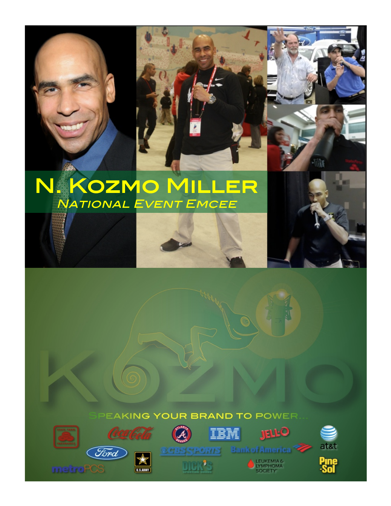# N. KOZMO MILLER **NATIONAL EVENT EMCEE**

#### EAKING YOUR BRAND TO POWER













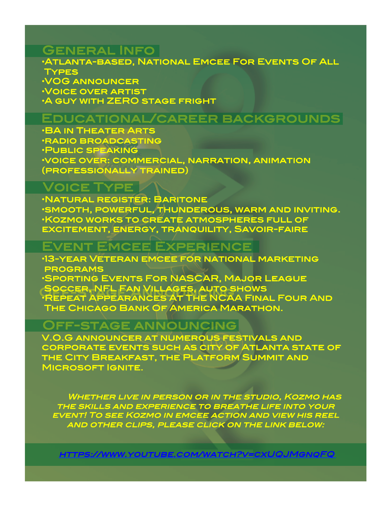### General Info!

•Atlanta-based, National Emcee For Events Of All ! Types ! •VOG announcer! •Voice over artist! **A GUY WITH ZERO STAGE FRIGHT** 

#### Educational/career backgrounds!

•BA in Theater Arts! •radio broadcasting! •Public speaking ! •voice over: commercial, narration, animation (professionally trained)!

#### Voice Type!

•Natural register: Baritone ! •smooth, powerful, thunderous, warm and inviting. ! •Kozmo works to create atmospheres full of excitement, energy, tranquility, Savoir-faire !

## Event Emcee Experience!

•13-year Veteran emcee for national marketing ! programs ! •Sporting Events For NASCAR, Major League ! Soccer, NFL Fan Villages, auto shows! SOCCER, NFL FAN VILLAGES, AUTO SHOWS<br>•REPEAT APPEARANCES AT THE NCAA FINAL FOUR AND

THE CHICAGO BANK OF AMERICA MARATHON.

#### Off-stage announcing!

V.O.G announcer at numerous festivals and corporate events such as city of Atlanta state of the City Breakfast, the Platform Summit and MICROSOFT IGNITE.

WHETHER LIVE IN PERSON OR IN THE STUDIO, KOZMO HAS the skills and experience to breathe life into your event! To see Kozmo in emcee action and view his reel and other clips, please click on the link below:!

https://www.youtube.com/watch?v=cxUQJMgnqFQ!